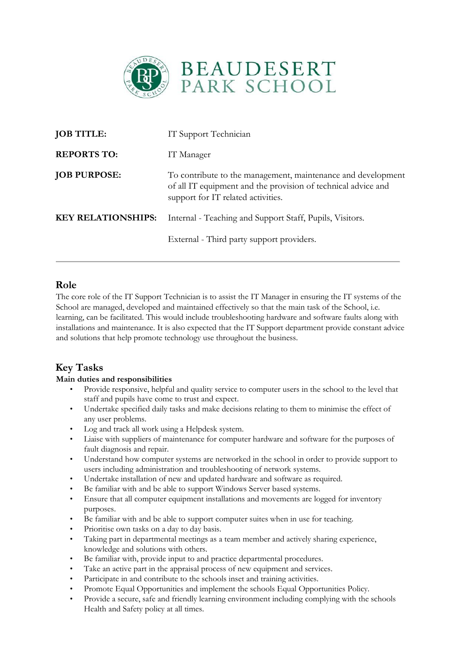

| <b>JOB TITLE:</b>         | IT Support Technician                                                                                                                                               |
|---------------------------|---------------------------------------------------------------------------------------------------------------------------------------------------------------------|
| <b>REPORTS TO:</b>        | IT Manager                                                                                                                                                          |
| <b>JOB PURPOSE:</b>       | To contribute to the management, maintenance and development<br>of all IT equipment and the provision of technical advice and<br>support for IT related activities. |
| <b>KEY RELATIONSHIPS:</b> | Internal - Teaching and Support Staff, Pupils, Visitors.                                                                                                            |
|                           | External - Third party support providers.                                                                                                                           |

### **Role**

The core role of the IT Support Technician is to assist the IT Manager in ensuring the IT systems of the School are managed, developed and maintained effectively so that the main task of the School, i.e. learning, can be facilitated. This would include troubleshooting hardware and software faults along with installations and maintenance. It is also expected that the IT Support department provide constant advice and solutions that help promote technology use throughout the business.

## **Key Tasks**

### **Main duties and responsibilities**

- Provide responsive, helpful and quality service to computer users in the school to the level that staff and pupils have come to trust and expect.
- Undertake specified daily tasks and make decisions relating to them to minimise the effect of any user problems.
- Log and track all work using a Helpdesk system.
- Liaise with suppliers of maintenance for computer hardware and software for the purposes of fault diagnosis and repair.
- Understand how computer systems are networked in the school in order to provide support to users including administration and troubleshooting of network systems.
- Undertake installation of new and updated hardware and software as required.
- Be familiar with and be able to support Windows Server based systems.
- Ensure that all computer equipment installations and movements are logged for inventory purposes.
- Be familiar with and be able to support computer suites when in use for teaching.
- Prioritise own tasks on a day to day basis.
- Taking part in departmental meetings as a team member and actively sharing experience, knowledge and solutions with others.
- Be familiar with, provide input to and practice departmental procedures.
- Take an active part in the appraisal process of new equipment and services.
- Participate in and contribute to the schools inset and training activities.
- Promote Equal Opportunities and implement the schools Equal Opportunities Policy.
- Provide a secure, safe and friendly learning environment including complying with the schools Health and Safety policy at all times.